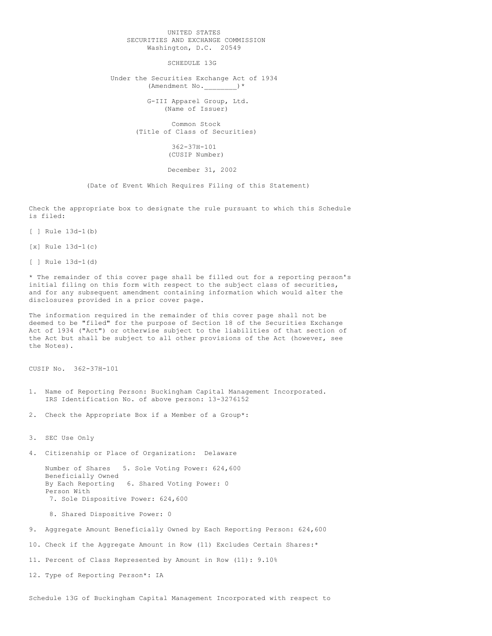## UNITED STATES SECURITIES AND EXCHANGE COMMISSION Washington, D.C. 20549

SCHEDULE 13G

Under the Securities Exchange Act of 1934 (Amendment No. )\*

> G-III Apparel Group, Ltd. (Name of Issuer)

Common Stock (Title of Class of Securities)

> 362-37H-101 (CUSIP Number)

## December 31, 2002

(Date of Event Which Requires Filing of this Statement)

Check the appropriate box to designate the rule pursuant to which this Schedule is filed:

[ ] Rule 13d-1(b)

[x] Rule 13d-1(c)

[ ] Rule 13d-1(d)

\* The remainder of this cover page shall be filled out for a reporting person's initial filing on this form with respect to the subject class of securities, and for any subsequent amendment containing information which would alter the disclosures provided in a prior cover page.

The information required in the remainder of this cover page shall not be deemed to be "filed" for the purpose of Section 18 of the Securities Exchange Act of 1934 ("Act") or otherwise subject to the liabilities of that section of the Act but shall be subject to all other provisions of the Act (however, see the Notes).

CUSIP No. 362-37H-101

- 1. Name of Reporting Person: Buckingham Capital Management Incorporated. IRS Identification No. of above person: 13-3276152
- 2. Check the Appropriate Box if a Member of a Group\*:

3. SEC Use Only

4. Citizenship or Place of Organization: Delaware

Number of Shares 5. Sole Voting Power: 624,600 Beneficially Owned<br>By Each Reporting 6. Shared Voting Power: 0 Person With 7. Sole Dispositive Power: 624,600

8. Shared Dispositive Power: 0

9. Aggregate Amount Beneficially Owned by Each Reporting Person: 624,600

10. Check if the Aggregate Amount in Row (11) Excludes Certain Shares:\*

11. Percent of Class Represented by Amount in Row (11): 9.10%

12. Type of Reporting Person\*: IA

Schedule 13G of Buckingham Capital Management Incorporated with respect to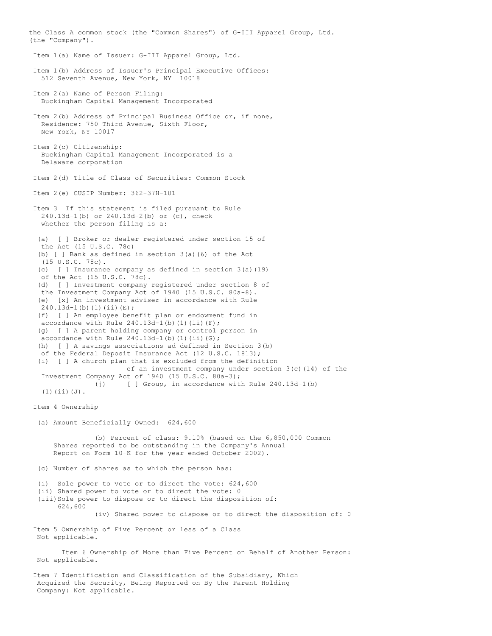the Class A common stock (the "Common Shares") of G-III Apparel Group, Ltd. (the "Company"). Item 1(a) Name of Issuer: G-III Apparel Group, Ltd. Item 1(b) Address of Issuer's Principal Executive Offices: 512 Seventh Avenue, New York, NY 10018 Item 2(a) Name of Person Filing: Buckingham Capital Management Incorporated Item 2(b) Address of Principal Business Office or, if none, Residence: 750 Third Avenue, Sixth Floor, New York, NY 10017 Item 2(c) Citizenship: Buckingham Capital Management Incorporated is a Delaware corporation Item 2(d) Title of Class of Securities: Common Stock Item 2(e) CUSIP Number: 362-37H-101 Item 3 If this statement is filed pursuant to Rule 240.13d-1(b) or 240.13d-2(b) or (c), check whether the person filing is a: (a) [ ] Broker or dealer registered under section 15 of the Act (15 U.S.C. 78o) (b) [ ] Bank as defined in section 3(a)(6) of the Act (15 U.S.C. 78c). (c) [ ] Insurance company as defined in section 3(a)(19) of the Act (15 U.S.C. 78c). (d) [ ] Investment company registered under section 8 of the Investment Company Act of 1940 (15 U.S.C. 80a-8). (e) [x] An investment adviser in accordance with Rule  $240.13d-1(b)(1)(ii)(E);$ (f) [ ] An employee benefit plan or endowment fund in accordance with Rule  $240.13d-1$ (b)(1)(ii)(F); (g) [ ] A parent holding company or control person in accordance with Rule  $240.13d-1$ (b)(1)(ii)(G); (h) [ ] A savings associations ad defined in Section 3(b) of the Federal Deposit Insurance Act (12 U.S.C. 1813); (i) [ ] A church plan that is excluded from the definition of an investment company under section  $3(c)(14)$  of the Investment Company Act of 1940 (15 U.S.C. 80a-3); (j) [ ] Group, in accordance with Rule 240.13d-1(b) (1)(ii)(J). Item 4 Ownership (a) Amount Beneficially Owned: 624,600 (b) Percent of class: 9.10% (based on the 6,850,000 Common Shares reported to be outstanding in the Company's Annual Report on Form 10-K for the year ended October 2002). (c) Number of shares as to which the person has: (i) Sole power to vote or to direct the vote: 624,600 (ii) Shared power to vote or to direct the vote: 0 (iii)Sole power to dispose or to direct the disposition of: 624,600 (iv) Shared power to dispose or to direct the disposition of: 0 Item 5 Ownership of Five Percent or less of a Class Not applicable. Item 6 Ownership of More than Five Percent on Behalf of Another Person: Not applicable. Item 7 Identification and Classification of the Subsidiary, Which Acquired the Security, Being Reported on By the Parent Holding Company: Not applicable.